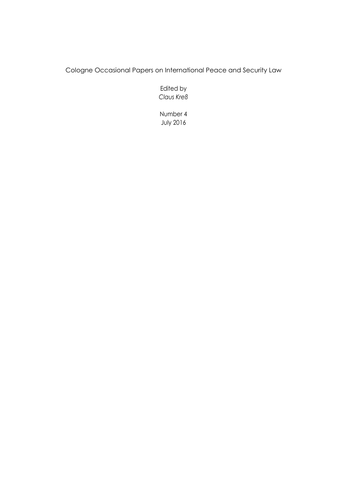Cologne Occasional Papers on International Peace and Security Law

Edited by *Claus Kreß*

Number 4 July 2016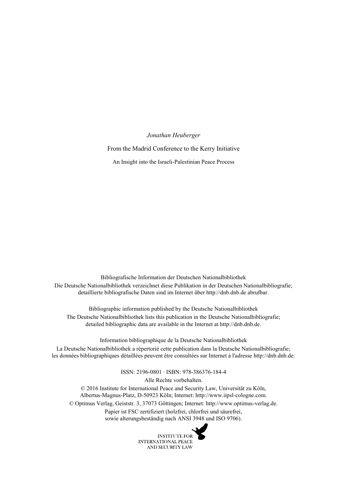*Jonathan Heuberger*

From the Madrid Conference to the Kerry Initiative

An Insight into the Israeli-Palestinian Peace Process

Bibliografische Information der Deutschen Nationalbibliothek Die Deutsche Nationalbibliothek verzeichnet diese Publikation in der Deutschen Nationalbibliografie; detaillierte bibliografische Daten sind im Internet über http://dnb.dnb.de abrufbar.

Bibliographic information published by the Deutsche Nationalbibliothek The Deutsche Nationalbibliothek lists this publication in the Deutsche Nationalbibliografie; detailed bibliographic data are available in the Internet at http://dnb.dnb.de.

Information bibliographique de la Deutsche Nationalbibliothek

La Deutsche Nationalbibliothek a répertorié cette publication dans la Deutsche Nationalbibliografie; les données bibliographiques détaillées peuvent être consultées sur Internet à l'adresse http://dnb.dnb.de.

ISSN: 2196-0801 ∙ ISBN: 978-386376-184-4

Alle Rechte vorbehalten.

© 2016 Institute for International Peace and Security Law, Universität zu Köln, Albertus-Magnus-Platz, D-50923 Köln; Internet: http://www.iipsl-cologne.com.

© Optimus Verlag, Geiststr. 3, 37073 Göttingen; Internet: http://www.optimus-verlag.de.

Papier ist FSC zertifiziert (holzfrei, chlorfrei und säurefrei, sowie alterungsbeständig nach ANSI 3948 und ISO 9706).

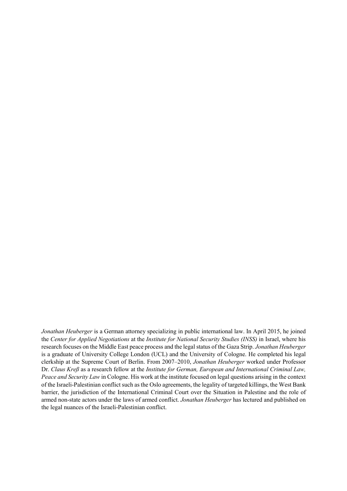*Jonathan Heuberger* is a German attorney specializing in public international law. In April 2015, he joined the *Center for Applied Negotiations* at the *Institute for National Security Studies (INSS)* in Israel, where his research focuses on the Middle East peace process and the legal status of the Gaza Strip. *Jonathan Heuberger* is a graduate of University College London (UCL) and the University of Cologne. He completed his legal clerkship at the Supreme Court of Berlin. From 2007–2010, *Jonathan Heuberger* worked under Professor Dr. *Claus Kreß* as a research fellow at the *Institute for German, European and International Criminal Law, Peace and Security Law* in Cologne. His work at the institute focused on legal questions arising in the context of the Israeli-Palestinian conflict such as the Oslo agreements, the legality of targeted killings, the West Bank barrier, the jurisdiction of the International Criminal Court over the Situation in Palestine and the role of armed non-state actors under the laws of armed conflict. *Jonathan Heuberger* has lectured and published on the legal nuances of the Israeli-Palestinian conflict.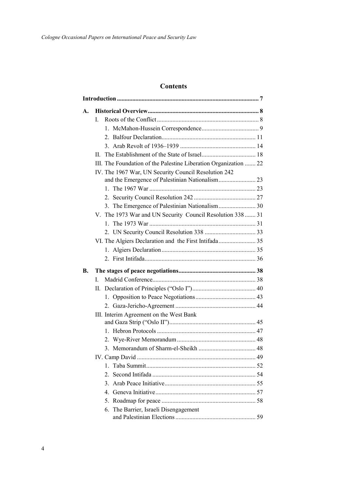# **Contents**

| A. |                                                                  |  |  |  |  |  |
|----|------------------------------------------------------------------|--|--|--|--|--|
|    | L                                                                |  |  |  |  |  |
|    |                                                                  |  |  |  |  |  |
|    |                                                                  |  |  |  |  |  |
|    |                                                                  |  |  |  |  |  |
|    | Н.                                                               |  |  |  |  |  |
|    | III. The Foundation of the Palestine Liberation Organization  22 |  |  |  |  |  |
|    | IV. The 1967 War, UN Security Council Resolution 242             |  |  |  |  |  |
|    |                                                                  |  |  |  |  |  |
|    |                                                                  |  |  |  |  |  |
|    |                                                                  |  |  |  |  |  |
|    |                                                                  |  |  |  |  |  |
|    | V. The 1973 War and UN Security Council Resolution 338  31       |  |  |  |  |  |
|    |                                                                  |  |  |  |  |  |
|    |                                                                  |  |  |  |  |  |
|    |                                                                  |  |  |  |  |  |
|    |                                                                  |  |  |  |  |  |
|    |                                                                  |  |  |  |  |  |
| B. |                                                                  |  |  |  |  |  |
|    |                                                                  |  |  |  |  |  |
|    | L                                                                |  |  |  |  |  |
|    | H.                                                               |  |  |  |  |  |
|    |                                                                  |  |  |  |  |  |
|    |                                                                  |  |  |  |  |  |
|    | III. Interim Agreement on the West Bank                          |  |  |  |  |  |
|    |                                                                  |  |  |  |  |  |
|    |                                                                  |  |  |  |  |  |
|    |                                                                  |  |  |  |  |  |
|    |                                                                  |  |  |  |  |  |
|    | 49                                                               |  |  |  |  |  |
|    |                                                                  |  |  |  |  |  |
|    |                                                                  |  |  |  |  |  |
|    |                                                                  |  |  |  |  |  |
|    |                                                                  |  |  |  |  |  |
|    |                                                                  |  |  |  |  |  |
|    | 6. The Barrier, Israeli Disengagement                            |  |  |  |  |  |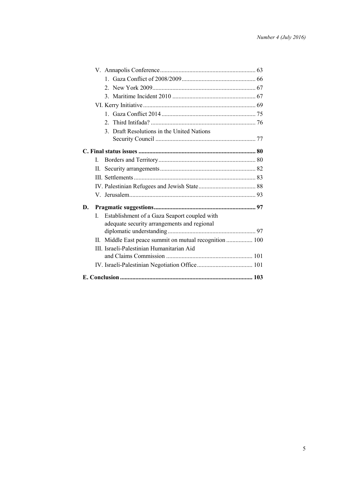|    |       |  | 3. Draft Resolutions in the United Nations          |  |  |  |  |
|----|-------|--|-----------------------------------------------------|--|--|--|--|
|    |       |  |                                                     |  |  |  |  |
|    |       |  |                                                     |  |  |  |  |
|    | L     |  |                                                     |  |  |  |  |
|    | П.    |  |                                                     |  |  |  |  |
|    |       |  |                                                     |  |  |  |  |
|    |       |  |                                                     |  |  |  |  |
|    |       |  |                                                     |  |  |  |  |
| D. |       |  |                                                     |  |  |  |  |
|    | L     |  | Establishment of a Gaza Seaport coupled with        |  |  |  |  |
|    |       |  | adequate security arrangements and regional         |  |  |  |  |
|    |       |  |                                                     |  |  |  |  |
|    | $\Pi$ |  | Middle East peace summit on mutual recognition  100 |  |  |  |  |
|    |       |  | III. Israeli-Palestinian Humanitarian Aid           |  |  |  |  |
|    |       |  |                                                     |  |  |  |  |
|    |       |  |                                                     |  |  |  |  |
|    |       |  |                                                     |  |  |  |  |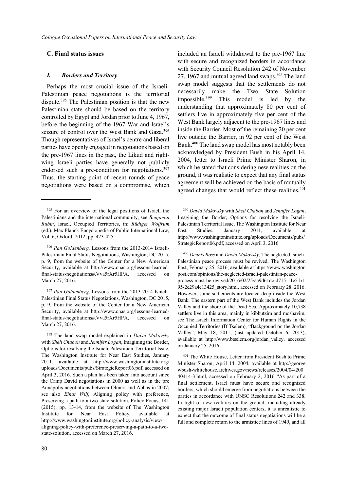### **C. Final status issues**

#### *I. Borders and Territory*

Perhaps the most crucial issue of the Israeli-Palestinian peace negotiations is the territorial dispute.<sup>395</sup> The Palestinian position is that the new Palestinian state should be based on the territory controlled by Egypt and Jordan prior to June 4, 1967, before the beginning of the 1967 War and Israel's seizure of control over the West Bank and Gaza.<sup>396</sup> Though representatives of Israel's centre and liberal parties have openly engaged in negotiations based on the pre-1967 lines in the past, the Likud and rightwing Israeli parties have generally not publicly endorsed such a pre-condition for negotiations.<sup>397</sup> Thus, the starting point of recent rounds of peace negotiations were based on a compromise, which included an Israeli withdrawal to the pre-1967 line with secure and recognized borders in accordance with Security Council Resolution 242 of November 27, 1967 and mutual agreed land swaps.<sup>398</sup> The land swap model suggests that the settlements do not necessarily make the Two State Solution impossible.<sup>399</sup> This model is led by the understanding that approximately 80 per cent of settlers live in approximately five per cent of the West Bank largely adjacent to the pre-1967 lines and inside the Barrier. Most of the remaining 20 per cent live outside the Barrier, in 92 per cent of the West Bank.<sup>400</sup> The land swap model has most notably been acknowledged by President Bush in his April 14, 2004, letter to Israeli Prime Minister Sharon, in which he stated that considering new realities on the ground, it was realistic to expect that any final status agreement will be achieved on the basis of mutually agreed changes that would reflect these realities.<sup>401</sup>

<sup>399</sup> *David Makovsky* with *Sheli Chabon* and *Jennifer Logan*, Imagining the Border, Options for resolving the Israeli-Palestinian Territorial Issue, The Washington Institute for Near East Studies, January 2011, available at http://www.washingtoninstitute.org/uploads/Documents/pubs/ StrategicReport06.pdf, accessed on April 3, 2016.

<sup>400</sup> *Dennis Ross* and *David Makovsky*, The neglected Israeli-Palestinian peace process must be revived, The Washington Post, February 25, 2016, available at https://www.washington post.com/opinions/the-neglected-israeli-palestinian-peaceprocess-must-be-revived/2016/02/25/aa9d61dc-d715-11e5-b1 95-2e29a4e13425\_story.html, accessed on February 28, 2016. However, some settlements are located deep inside the West Bank. The eastern part of the West Bank includes the Jordan Valley and the shore of the Dead Sea. Approximately 10,738 settlers live in this area, mainly in kibbutzim and moshavim, see The Israeli Information Center for Human Rights in the Occupied Territories (B'Tselem), "Background on the Jordan Valley", May 18, 2011, (last updated October 6, 2013), available at http://www.btselem.org/jordan\_valley, accessed on January 25, 2016.

<sup>401</sup> The White House, Letter from President Bush to Prime Minister Sharon, April 14, 2004, available at http://george wbush-whitehouse.archives.gov/news/releases/2004/04/200 40414-3.html, accessed on February 2, 2016 "As part of a final settlement, Israel must have secure and recognized borders, which should emerge from negotiations between the parties in accordance with UNSC Resolutions 242 and 338. In light of new realities on the ground, including already existing major Israeli population centers, it is unrealistic to expect that the outcome of final status negotiations will be a full and complete return to the armistice lines of 1949, and all

<sup>395</sup> For an overview of the legal positions of Israel, the Palestinians and the international community, see *Benjamin Rubin*, Israel, Occupied Territories, in: *Rüdiger Wolfrum* (ed.), Max Planck Encyclopedia of Public International Law, Vol. 6, Oxford, 2012, pp. 423-425.

<sup>396</sup> *Ilan Goldenberg,* Lessons from the 2013-2014 Israeli-Palestinian Final Status Negotiations, Washington, DC 2015, p. 9, from the website of the Center for a New American Security, available at http://www.cnas.org/lessons-learnedfinal-status-negotiations#.Vva5rXr5HPA, accessed on March 27, 2016.

<sup>397</sup> *Ilan Goldenberg,* Lessons from the 2013-2014 Israeli-Palestinian Final Status Negotiations, Washington, DC 2015, p. 9, from the website of the Center for a New American Security, available at http://www.cnas.org/lessons-learnedfinal-status-negotiations#.Vva5rXr5HPA, accessed on March 27, 2016.

<sup>398</sup> The land swap model explained in *David Makovsky*  with *Sheli Chabon* and *Jennifer Logan*, Imagining the Border, Options for resolving the Israeli-Palestinian Territorial Issue, The Washington Institute for Near East Studies, January 2011, available at http://www.washingtoninstitute.org/ uploads/Documents/pubs/StrategicReport06.pdf, accessed on April 3, 2016. Such a plan has been taken into account since the Camp David negotiations in 2000 as well as in the pre Annapolis negotiations between Olmert and Abbas in 2007; see also *Einat Wilf*, Aligning policy with preference, Preserving a path to a two-state solution, Policy Focus, 141 (2015), pp. 13-14, from the website of The Washington Institute for Near East Policy, available at [http://www.washingtoninstitute.org/policy-analysis/view/](http://www.washingtoninstitute.org/policy-analysis/view/aligning-policy-with-preference-preserving-a-path-to-a-two-state-solution) [aligning-policy-with-preference-preserving-a-path-to-a-two](http://www.washingtoninstitute.org/policy-analysis/view/aligning-policy-with-preference-preserving-a-path-to-a-two-state-solution)[state-solution,](http://www.washingtoninstitute.org/policy-analysis/view/aligning-policy-with-preference-preserving-a-path-to-a-two-state-solution) accessed on March 27, 2016.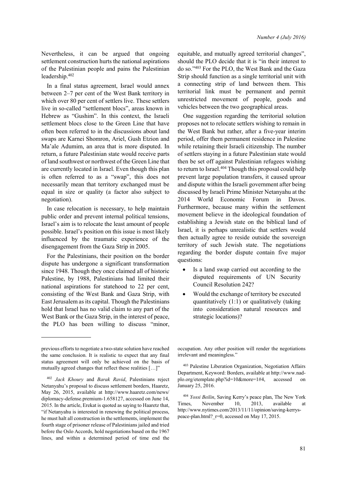Nevertheless, it can be argued that ongoing settlement construction hurts the national aspirations of the Palestinian people and pains the Palestinian leadership.<sup>402</sup>

In a final status agreement, Israel would annex between 2–7 per cent of the West Bank territory in which over 80 per cent of settlers live. These settlers live in so-called "settlement blocs", areas known in Hebrew as "Gushim". In this context, the Israeli settlement blocs close to the Green Line that have often been referred to in the discussions about land swaps are Karnei Shomron, Ariel, Gush Etzion and Ma'ale Adumim, an area that is more disputed. In return, a future Palestinian state would receive parts of land southwest or northwest of the Green Line that are currently located in Israel. Even though this plan is often referred to as a "swap", this does not necessarily mean that territory exchanged must be equal in size or quality (a factor also subject to negotiation).

In case relocation is necessary, to help maintain public order and prevent internal political tensions, Israel's aim is to relocate the least amount of people possible. Israel's position on this issue is most likely influenced by the traumatic experience of the disengagement from the Gaza Strip in 2005.

For the Palestinians, their position on the border dispute has undergone a significant transformation since 1948. Though they once claimed all of historic Palestine, by 1988, Palestinians had limited their national aspirations for statehood to 22 per cent, consisting of the West Bank and Gaza Strip, with East Jerusalem as its capital. Though the Palestinians hold that Israel has no valid claim to any part of the West Bank or the Gaza Strip, in the interest of peace, the PLO has been willing to discuss "minor,

equitable, and mutually agreed territorial changes", should the PLO decide that it is "in their interest to do so." <sup>403</sup> For the PLO, the West Bank and the Gaza Strip should function as a single territorial unit with a connecting strip of land between them. This territorial link must be permanent and permit unrestricted movement of people, goods and vehicles between the two geographical areas.

One suggestion regarding the territorial solution proposes not to relocate settlers wishing to remain in the West Bank but rather, after a five-year interim period, offer them permanent residence in Palestine while retaining their Israeli citizenship. The number of settlers staying in a future Palestinian state would then be set off against Palestinian refugees wishing to return to Israel.<sup>404</sup> Though this proposal could help prevent large population transfers, it caused uproar and dispute within the Israeli government after being discussed by Israeli Prime Minister Netanyahu at the 2014 World Economic Forum in Davos. Furthermore, because many within the settlement movement believe in the ideological foundation of establishing a Jewish state on the biblical land of Israel, it is perhaps unrealistic that settlers would then actually agree to reside outside the sovereign territory of such Jewish state. The negotiations regarding the border dispute contain five major questions:

- Is a land swap carried out according to the disputed requirements of UN Security Council Resolution 242?
- Would the exchange of territory be executed quantitatively (1:1) or qualitatively (taking into consideration natural resources and strategic locations)?

occupation. Any other position will render the negotiations irrelevant and meaningless."

<sup>403</sup> Palestine Liberation Organization, Negotiation Affairs Department, Keyword: Borders, available at http://www.nadplo.org/etemplate.php?id=10&more=1#4, accessed on January 25, 2016.

<sup>404</sup> *Yossi Beilin*, Saving Kerry's peace plan, The New York Times, November 10, 2013, available at http://www.nytimes.com/2013/11/11/opinion/saving-kerryspeace-plan.html?\_r=0, accessed on May 17, 2015.

previous efforts to negotiate a two-state solution have reached the same conclusion. It is realistic to expect that any final status agreement will only be achieved on the basis of mutually agreed changes that reflect these realities […]"

<sup>402</sup> *Jack Khoury* and *Barak Ravid*, Palestinians reject Netanyahu's proposal to discuss settlement borders, Haaretz, May 26, 2015, available at http://www.haaretz.com/news/ diplomacy-defense.premium-1.658127, accessed on June 14, 2015. In the article, Erekat is quoted as saying to Haaretz that, "if Netanyahu is interested in renewing the political process, he must halt all construction in the settlements, implement the fourth stage of prisoner release of Palestinians jailed and tried before the Oslo Accords, hold negotiations based on the 1967 lines, and within a determined period of time end the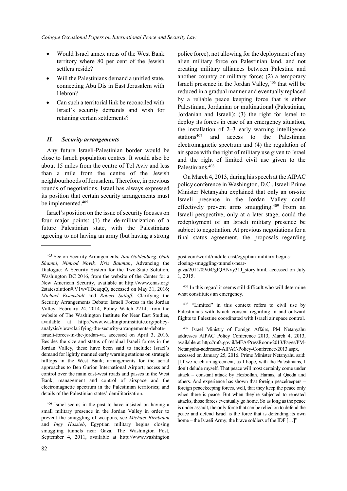- Would Israel annex areas of the West Bank territory where 80 per cent of the Jewish settlers reside?
- Will the Palestinians demand a unified state, connecting Abu Dis in East Jerusalem with Hebron?
- Can such a territorial link be reconciled with Israel's security demands and wish for retaining certain settlements?

## *II. Security arrangements*

Any future Israeli-Palestinian border would be close to Israeli population centres. It would also be about 15 miles from the centre of Tel Aviv and less than a mile from the centre of the Jewish neighbourhoods of Jerusalem. Therefore, in previous rounds of negotiations, Israel has always expressed its position that certain security arrangements must be implemented.<sup>405</sup>

Israel's position on the issue of security focuses on four major points: (1) the de-militarization of a future Palestinian state, with the Palestinians agreeing to not having an army (but having a strong

<sup>406</sup> Israel seems in the past to have insisted on having a small military presence in the Jordan Valley in order to prevent the smuggling of weapons, see *Michael Birnbaum*  and *Ingy Hassieb*, Egyptian military begins closing smuggling tunnels near Gaza, The Washington Post, September 4, 2011, available at http://www.washington police force), not allowing for the deployment of any alien military force on Palestinian land, and not creating military alliances between Palestine and another country or military force; (2) a temporary Israeli presence in the Jordan Valley, 406 that will be reduced in a gradual manner and eventually replaced by a reliable peace keeping force that is either Palestinian, Jordanian or multinational (Palestinian, Jordanian and Israeli); (3) the right for Israel to deploy its forces in case of an emergency situation, the installation of 2–3 early warning intelligence stations<sup>407</sup> and access to the Palestinian electromagnetic spectrum and (4) the regulation of air space with the right of military use given to Israel and the right of limited civil use given to the Palestinians.<sup>408</sup>

On March 4, 2013, during his speech at the AIPAC policy conference in Washington, D.C., Israeli Prime Minister Netanyahu explained that only an on-site Israeli presence in the Jordan Valley could effectively prevent arms smuggling.<sup>409</sup> From an Israeli perspective, only at a later stage, could the redeployment of an Israeli military presence be subject to negotiation. At previous negotiations for a final status agreement, the proposals regarding

gaza/2011/09/04/gIQANvy31J\_story.html, accessed on July 1, 2015.

<sup>407</sup> In this regard it seems still difficult who will determine what constitutes an emergency.

<sup>408</sup> "Limited" in this context refers to civil use by Palestinians with Israeli consent regarding in and outward flights to Palestine coordinated with Israeli air space control.

<sup>409</sup> Israel Ministry of Foreign Affairs, PM Netanyahu addresses AIPAC Policy Conference 2013, March 4, 2013, available at http://mfa.gov.il/MFA/PressRoom/2013/Pages/PM-Netanyahu-addresses-AIPAC-Policy-Conference-2013.aspx, accessed on January 25, 2016. Prime Minister Netanyahu said: [I]f we reach an agreement, as I hope, with the Palestinians, I don't delude myself. That peace will most certainly come under attack – constant attack by Hezbollah, Hamas, al Qaeda and others. And experience has shown that foreign peacekeepers – foreign peacekeeping forces, well, that they keep the peace only when there is peace. But when they're subjected to repeated attacks, those forces eventually go home. So as long as the peace is under assault, the only force that can be relied on to defend the peace and defend Israel is the force that is defending its own home – the Israeli Army, the brave soldiers of the IDF [...]"

<sup>405</sup> See on Security Arrangements, *Ilan Goldenberg*, *Gadi Shamni*, *Nimrod Novik, Kris Bauman*, Advancing the Dialogue: A Security System for the Two-State Solution, Washington DC 2016, from the website of the Center for a New American Security, available at http://www.cnas.org/ 2statesolution#.V1wvTDcaqqQ, accessed on May 31, 2016; *Michael Eisenstadt* and *Robert Satloff*, Clarifying the Security Arrangements Debate: Israeli Forces in the Jordan Valley, February 24, 2014, Policy Watch 2214, from the website of The Washington Institute for Near East Studies, available at http://www.washingtoninstitute.org/policyanalysis/view/clarifying-the-security-arrangements-debateisraeli-forces-in-the-jordan-va, accessed on April 3, 2016. Besides the size and status of residual Israeli forces in the Jordan Valley, these have been said to include: Israel's demand for lightly manned early warning stations on strategic hilltops in the West Bank; arrangements for the aerial approaches to Ben Gurion International Airport; access and control over the main east-west roads and passes in the West Bank; management and control of airspace and the electromagnetic spectrum in the Palestinian territories; and details of the Palestinian states' demilitarization.

post.com/world/middle-east/egyptian-military-beginsclosing-smuggling-tunnels-near-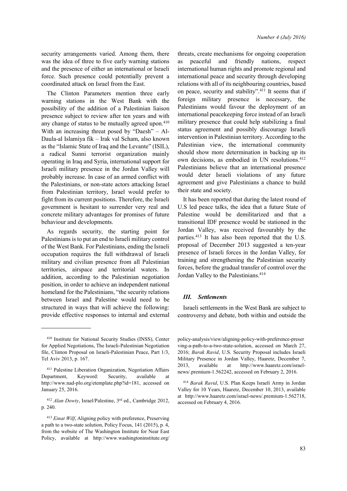security arrangements varied. Among them, there was the idea of three to five early warning stations and the presence of either an international or Israeli force. Such presence could potentially prevent a coordinated attack on Israel from the East.

The Clinton Parameters mention three early warning stations in the West Bank with the possibility of the addition of a Palestinian liaison presence subject to review after ten years and with any change of status to be mutually agreed upon.<sup>410</sup> With an increasing threat posed by "Daesh" – Al-Daula-al Islamiya fik – Irak val Scham, also known as the "Islamic State of Iraq and the Levante" (ISIL), a radical Sunni terrorist organization mainly operating in Iraq and Syria, international support for Israeli military presence in the Jordan Valley will probably increase. In case of an armed conflict with the Palestinians, or non-state actors attacking Israel from Palestinian territory, Israel would prefer to fight from its current positions. Therefore, the Israeli government is hesitant to surrender very real and concrete military advantages for promises of future behaviour and developments.

As regards security, the starting point for Palestinians is to put an end to Israeli military control of the West Bank. For Palestinians, ending the Israeli occupation requires the full withdrawal of Israeli military and civilian presence from all Palestinian territories, airspace and territorial waters. In addition, according to the Palestinian negotiation position, in order to achieve an independent national homeland for the Palestinians, "the security relations between Israel and Palestine would need to be structured in ways that will achieve the following: provide effective responses to internal and external threats, create mechanisms for ongoing cooperation as peaceful and friendly nations, respect international human rights and promote regional and international peace and security through developing relations with all of its neighbouring countries, based on peace, security and stability".<sup>411</sup> It seems that if foreign military presence is necessary, the Palestinians would favour the deployment of an international peacekeeping force instead of an Israeli military presence that could help stabilizing a final status agreement and possibly discourage Israeli intervention in Palestinian territory. According to the Palestinian view, the international community should show more determination in backing up its own decisions, as embodied in UN resolutions.<sup>412</sup> Palestinians believe that an international presence would deter Israeli violations of any future agreement and give Palestinians a chance to build their state and society.

It has been reported that during the latest round of U.S led peace talks, the idea that a future State of Palestine would be demilitarized and that a transitional IDF presence would be stationed in the Jordan Valley, was received favourably by the parties.<sup>413</sup> It has also been reported that the U.S. proposal of December 2013 suggested a ten-year presence of Israeli forces in the Jordan Valley, for training and strengthening the Palestinian security forces, before the gradual transfer of control over the Jordan Valley to the Palestinians.<sup>414</sup>

#### *III. Settlements*

Israeli settlements in the West Bank are subject to controversy and debate, both within and outside the

[policy-analysis/view/aligning-policy-with-preference-preser](http://www.washingtoninstitute.org/policy-analysis/view/aligning-policy-with-preference-preserving-a-path-to-a-two-state-solution) [ving-a-path-to-a-two-state-solution,](http://www.washingtoninstitute.org/policy-analysis/view/aligning-policy-with-preference-preserving-a-path-to-a-two-state-solution) accessed on March 27, 2016; *Barak Ravid*, U.S. Security Proposal includes Israeli Military Presence in Jordan Valley, Haaretz, December 7, 2013, available at http://www.haaretz.com/israelnews/.premium-1.562242, accessed on February 2, 2016.

<sup>410</sup> Institute for National Security Studies (INSS), Center for Applied Negotiations, The Israeli-Palestinian Negotiation file, Clinton Proposal on Israeli-Palestinian Peace, Part 1/3, Tel Aviv 2013, p. 167.

<sup>411</sup> Palestine Liberation Organization, Negotiation Affairs Department, Keyword: Security, available at http://www.nad-plo.org/etemplate.php?id=181, accessed on January 25, 2016.

<sup>412</sup> *Alan Dowty*, Israel/Palestine, 3rd ed., Cambridge 2012, p. 240.

<sup>413</sup> *Einat Wilf*, Aligning policy with preference, Preserving a path to a two-state solution, Policy Focus, 141 (2015), p. 4, from the website of The Washington Institute for Near East Policy, available at [http://www.washingtoninstitute.org/](http://www.washingtoninstitute.org/policy-analysis/view/aligning-policy-with-preference-preserving-a-path-to-a-two-state-solution)

<sup>414</sup> *Barak Ravid*, U.S. Plan Keeps Israeli Army in Jordan Valley for 10 Years, Haaretz, December 10, 2013, available at http://www.haaretz.com/israel-news/.premium-1.562718, accessed on February 4, 2016.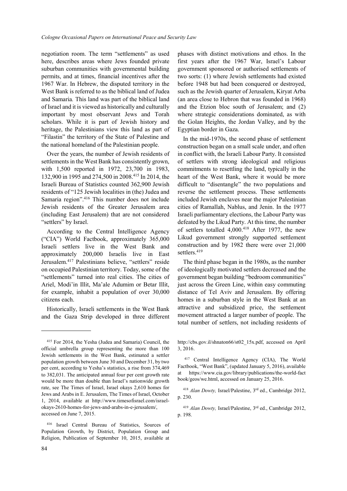negotiation room. The term "settlements" as used here, describes areas where Jews founded private suburban communities with governmental building permits, and at times, financial incentives after the 1967 War. In Hebrew, the disputed territory in the West Bank is referred to as the biblical land of Judea and Samaria*.* This land was part of the biblical land of Israel and it is viewed as historically and culturally important by most observant Jews and Torah scholars. While it is part of Jewish history and heritage, the Palestinians view this land as part of "Filastin" the territory of the State of Palestine and the national homeland of the Palestinian people.

Over the years, the number of Jewish residents of settlements in the West Bank has consistently grown, with 1,500 reported in 1972, 23,700 in 1983, 132,900 in 1995 and 274,500 in 2008.<sup>415</sup> In 2014, the Israeli Bureau of Statistics counted 362,900 Jewish residents of "125 Jewish localities in (the) Judea and Samaria region".<sup>416</sup> This number does not include Jewish residents of the Greater Jerusalem area (including East Jerusalem) that are not considered "settlers" by Israel.

According to the Central Intelligence Agency ("CIA") World Factbook, approximately 365,000 Israeli settlers live in the West Bank and approximately 200,000 Israelis live in East Jerusalem.<sup>417</sup> Palestinians believe, "settlers" reside on occupied Palestinian territory. Today, some of the "settlements" turned into real cities. The cities of Ariel, Modi'in Illit, Ma'ale Adumim or Betar Illit, for example, inhabit a population of over 30,000 citizens each.

Historically, Israeli settlements in the West Bank and the Gaza Strip developed in three different

phases with distinct motivations and ethos. In the first years after the 1967 War, Israel's Labour government sponsored or authorised settlements of two sorts: (1) where Jewish settlements had existed before 1948 but had been conquered or destroyed, such as the Jewish quarter of Jerusalem, Kiryat Arba (an area close to Hebron that was founded in 1968) and the Etzion bloc south of Jerusalem; and (2) where strategic considerations dominated, as with the Golan Heights, the Jordan Valley, and by the Egyptian border in Gaza.

In the mid-1970s, the second phase of settlement construction began on a small scale under, and often in conflict with, the Israeli Labour Party. It consisted of settlers with strong ideological and religious commitments to resettling the land, typically in the heart of the West Bank, where it would be more difficult to "disentangle" the two populations and reverse the settlement process. These settlements included Jewish enclaves near the major Palestinian cities of Ramallah, Nablus, and Jenin. In the 1977 Israeli parliamentary elections, the Labour Party was defeated by the Likud Party. At this time, the number of settlers totalled 4,000.<sup>418</sup> After 1977, the new Likud government strongly supported settlement construction and by 1982 there were over 21,000 settlers.<sup>419</sup>

The third phase began in the 1980s, as the number of ideologically motivated settlers decreased and the government began building "bedroom communities" just across the Green Line, within easy commuting distance of Tel Aviv and Jerusalem. By offering homes in a suburban style in the West Bank at an attractive and subsidized price, the settlement movement attracted a larger number of people. The total number of settlers, not including residents of

<sup>418</sup> *Alan Dowty,* Israel/Palestine, 3rd ed., Cambridge 2012, p. 230.

<sup>419</sup> *Alan Dowty,* Israel/Palestine, 3rd ed., Cambridge 2012, p. 198.

<sup>415</sup> For 2014, the Yesha (Judea and Samaria) Council, the official umbrella group representing the more than 100 Jewish settlements in the West Bank, estimated a settler population growth between June 30 and December 31, by two per cent, according to Yesha's statistics, a rise from 374,469 to 382,031. The anticipated annual four per cent growth rate would be more than double than Israel's nationwide growth rate, see The Times of Israel, Israel okays 2,610 homes for Jews and Arabs in E. Jerusalem, The Times of Israel, October 1, 2014, available at http://www.timesofisrael.com/israelokays-2610-homes-for-jews-and-arabs-in-e-jerusalem/, accessed on June 7, 2015.

<sup>416</sup> Israel Central Bureau of Statistics, Sources of Population Growth, by District, Population Group and Religion, Publication of September 10, 2015, available at

http://cbs.gov.il/shnaton66/st02\_15x.pdf, accessed on April 3, 2016.

<sup>417</sup> Central Intelligence Agency (CIA), The World Factbook, "West Bank", (updated January 5, 2016), available at https://www.cia.gov/library/publications/the-world-fact book/geos/we.html, accessed on January 25, 2016.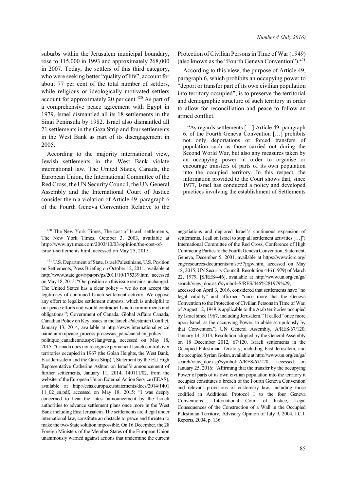suburbs within the Jerusalem municipal boundary, rose to 115,000 in 1993 and approximately 268,000 in 2007. Today, the settlers of this third category, who were seeking better "quality of life", account for about 77 per cent of the total number of settlers, while religious or ideologically motivated settlers account for approximately 20 per cent.<sup>420</sup> As part of a comprehensive peace agreement with Egypt in 1979, Israel dismantled all its 18 settlements in the Sinai Peninsula by 1982. Israel also dismantled all 21 settlements in the Gaza Strip and four settlements in the West Bank as part of its disengagement in 2005.

According to the majority international view, Jewish settlements in the West Bank violate international law. The United States, Canada, the European Union, the International Committee of the Red Cross, the UN Security Council, the UN General Assembly and the International Court of Justice consider them a violation of Article 49, paragraph 6 of the Fourth Geneva Convention Relative to the

Protection of Civilian Persons in Time of War (1949) (also known as the "Fourth Geneva Convention").<sup>421</sup>

According to this view, the purpose of Article 49, paragraph 6, which prohibits an occupying power to "deport or transfer part of its own civilian population into territory occupied", is to preserve the territorial and demographic structure of such territory in order to allow for reconciliation and peace to follow an armed conflict.

"As regards settlements […] Article 49, paragraph 6, of the Fourth Geneva Convention […] prohibits not only deportations or forced transfers of population such as those carried out during the Second World War, but also any measures taken by an occupying power in order to organise or encourage transfers of parts of its own population into the occupied territory. In this respect, the information provided to the Court shows that, since 1977, Israel has conducted a policy and developed practices involving the establishment of Settlements

negotiations and deplored Israel's continuous expansion of settlements. I call on Israel to stop all settlement activities [...]"; International Committee of the Red Cross, Conference of High Contracting Parties to the Fourth Geneva Convention, Statement, Geneva, December 5, 2001, available at https://www.icrc.org/ eng/resources/documents/misc/57jrgw.htm, accessed on May 18, 2015; UN Security Council, Resolution 446 (1979) of March 22, 1979, [S/RES/446], available at http://www.un.org/en/ga/ search/view\_doc.asp?symbol=S/RES/446%281979%29,

accessed on April 3, 2016, considered that settlements have "no legal validity" and affirmed "once more that the Geneva Convention to the Protection of Civilian Persons in Time of War, of August 12, 1949 is applicable to the Arab territories occupied by Israel since 1967, including Jerusalem." It called "once more upon Israel, as the occupying Power, to abide scrupulously by that Convention."; UN General Assembly, A/RES/67/120, January 14, 2013, Resolution adopted by the General Assembly on 18 December 2012, 67/120, Israeli settlements in the Occupied Palestinian Territory, including East Jerusalem, and the occupied Syrian Golan, available at http://www.un.org/en/ga/ search/view\_doc.asp?symbol=A/RES/67/120, accessed on January 25, 2016: "Affirming that the transfer by the occupying Power of parts of its own civilian population into the territory it occupies constitutes a breach of the Fourth Geneva Convention and relevant provisions of customary law, including those codified in Additional Protocol I to the four Geneva Conventions."; International Court of Justice, Legal Consequences of the Construction of a Wall in the Occupied Palestinian Territory, Advisory Opinion of July 9, 2004, I.C.J. Reports, 2004, p. 136.

<sup>420</sup> The New York Times, The cost of Israeli settlements, The New York Times, October 3, 2003, available at http://www.nytimes.com/2003/10/03/opinion/the-cost-ofisraeli-settlements.html, accessed on May 25, 2015.

<sup>421</sup> U.S. Department of State, Israel/Palestinians, U.S. Position on Settlements, Press Briefing on October 12, 2011, available at http://www.state.gov/r/pa/prs/ps/2011/10/175339.htm, accessed on May 18, 2015: "Our position on this issue remains unchanged. The United States has a clear policy – we do not accept the legitimacy of continued Israeli settlement activity. We oppose any effort to legalize settlement outposts, which is unhelpful to our peace efforts and would contradict Israeli commitments and obligations."; Government of Canada, Global Affairs Canada, Canadian Policy on Key Issues in the Israeli-Palestinian Conflict, January 13, 2014, available at http://www.international.gc.ca/ name-anmo/peace\_process-processus\_paix/canadian\_policypolitique canadienne.aspx?lang=eng, accessed on May 18, 2015: "Canada does not recognize permanent Israeli control over territories occupied in 1967 (the Golan Heights, the West Bank, East Jerusalem and the Gaza Strip)"; Statement by the EU High Representative Catherine Ashton on Israel's announcement of further settlements, January 11, 2014, 140111/02, from the website of the European Union External Action Service (EEAS), available at http://eeas.europa.eu/statements/docs/2014/1401 11\_02\_en.pdf, accessed on May 18, 2015: "I was deeply concerned to hear the latest announcement by the Israeli authorities to advance settlement plans once more in the West Bank including East Jerusalem. The settlements are illegal under international law, constitute an obstacle to peace and threaten to make the two-State solution impossible. On 16 December, the 28 Foreign Ministers of the Member States of the European Union unanimously warned against actions that undermine the current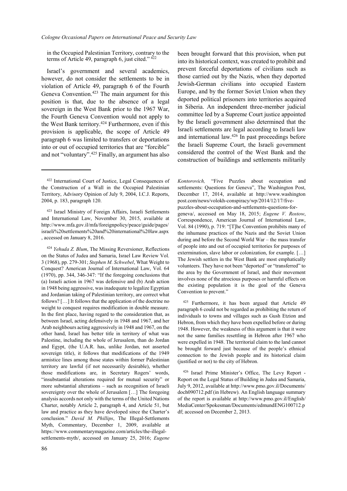in the Occupied Palestinian Territory, contrary to the terms of Article 49, paragraph 6, just cited." $42$ 

Israel's government and several academics, however, do not consider the settlements to be in violation of Article 49, paragraph 6 of the Fourth Geneva Convention.<sup>423</sup> The main argument for this position is that, due to the absence of a legal sovereign in the West Bank prior to the 1967 War, the Fourth Geneva Convention would not apply to the West Bank territory.<sup>424</sup> Furthermore, even if this provision is applicable, the scope of Article 49 paragraph 6 was limited to transfers or deportations into or out of occupied territories that are "forcible" and not "voluntary".<sup>425</sup> Finally, an argument has also

<sup>424</sup> *Yehuda Z. Blum*, The Missing Reversioner, Reflections on the Status of Judea and Samaria, Israel Law Review Vol. 3 (1968), pp. 279-301; *Stephen M. Schwebel*, What Weight to Conquest? American Journal of International Law, Vol. 64 (1970), pp. 344, 346-347: "If the foregoing conclusions that (a) Israeli action in 1967 was defensive and (b) Arab action in 1948 being aggressive, was inadequate to legalize Egyptian and Jordanian taking of Palestinian territory, are correct what follows? […] It follows that the application of the doctrine no weight to conquest requires modification in double measure. In the first place, having regard to the consideration that, as between Israel, acting defensively in 1948 and 1967, and her Arab neighbours acting aggressively in 1948 and 1967, on the other hand, Israel has better title in territory of what was Palestine, including the whole of Jerusalem, than do Jordan and Egypt, (the U.A.R. has, unlike Jordan, not asserted sovereign title), it follows that modifications of the 1949 armistice lines among those states within former Palestinian territory are lawful (if not necessarily desirable), whether those modifications are, in Secretary Rogers' words, "insubstantial alterations required for mutual security" or more substantial alterations – such as recognition of Israeli sovereignty over the whole of Jerusalem […] The foregoing analysis accords not only with the terms of the United Nations Charter, notably Article 2, paragraph 4, and Article 51, but law and practice as they have developed since the Charter's conclusion." *David M. Phillips*, The Illegal-Settlements Myth, Commentary, December 1, 2009, available at https://www.commentarymagazine.com/articles/the-illegalsettlements-myth/, accessed on January 25, 2016; *Eugene*  been brought forward that this provision, when put into its historical context, was created to prohibit and prevent forceful deportations of civilians such as those carried out by the Nazis, when they deported Jewish-German civilians into occupied Eastern Europe, and by the former Soviet Union when they deported political prisoners into territories acquired in Siberia. An independent three-member judicial committee led by a Supreme Court justice appointed by the Israeli government also determined that the Israeli settlements are legal according to Israeli law and international law.<sup>426</sup> In past proceedings before the Israeli Supreme Court, the Israeli government considered the control of the West Bank and the construction of buildings and settlements militarily

*Kontorovich,* "Five Puzzles about occupation and settlements: Questions for Geneva", The Washington Post, December 17, 2014, available at http://www.washington post.com/news/volokh-conspiracy/wp/2014/12/17/fivepuzzles-about-occupation-and-settlements-questions-forgeneva/, accessed on May 18, 2015; *Eugene V. Rostow*, Correspondence, American Journal of International Law, Vol. 84 (1990), p. 719: "[T]he Convention prohibits many of the inhumane practices of the Nazis and the Soviet Union during and before the Second World War – the mass transfer of people into and out of occupied territories for purposes of extermination, slave labor or colonization, for example. […] The Jewish settlers in the West Bank are most emphatically volunteers. They have not been "deported" or "transferred" to the area by the Government of Israel, and their movement involves none of the atrocious purposes or harmful effects on the existing population it is the goal of the Geneva Convention to prevent."

<sup>425</sup> Furthermore, it has been argued that Article 49 paragraph 6 could not be regarded as prohibiting the return of individuals to towns and villages such as Gush Etzion and Hebron, from which they have been expelled before or during 1948. However, the weakness of this argument is that it were not the same families resettling in Hebron after 1967 who were expelled in 1948. The territorial claim to the land cannot be brought forward just because of the people's ethnical connection to the Jewish people and its historical claim (justified or not) to the city of Hebron.

<sup>426</sup> Israel Prime Minister's Office, The Levy Report - Report on the Legal Status of Building in Judea and Samaria, July 9, 2012, available at http://www.pmo.gov.il/Documents/ doch090712.pdf (in Hebrew). An English language summary of the report is available at http://www.pmo.gov.il/English/ MediaCenter/Spokesman/Documents/edmundENG100712.p df; accessed on December 2, 2013.

<sup>422</sup> International Court of Justice, Legal Consequences of the Construction of a Wall in the Occupied Palestinian Territory, Advisory Opinion of July 9, 2004, I.C.J. Reports, 2004, p. 183, paragraph 120.

<sup>423</sup> Israel Ministry of Foreign Affairs, Israeli Settlements and International Law, November 30, 2015, available at http://www.mfa.gov.il/mfa/foreignpolicy/peace/guide/pages/ israeli%20settlements%20and%20international%20law.aspx , accessed on January 8, 2016.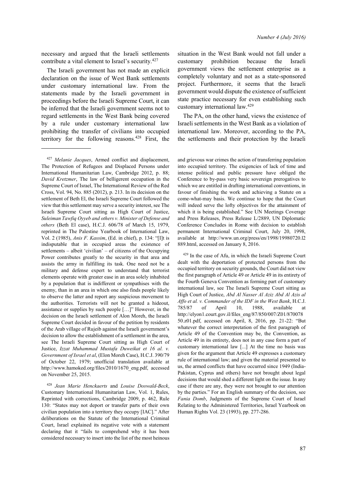necessary and argued that the Israeli settlements contribute a vital element to Israel's security.<sup>427</sup>

The Israeli government has not made an explicit declaration on the issue of West Bank settlements under customary international law. From the statements made by the Israeli government in proceedings before the Israeli Supreme Court, it can be inferred that the Israeli government seems not to regard settlements in the West Bank being covered by a rule under customary international law prohibiting the transfer of civilians into occupied territory for the following reasons.<sup>428</sup> First, the

<sup>428</sup> *Jean Marie Henckaerts* and *Louise Doswald-Beck*, Customary International Humanitarian Law, Vol. 1, Rules, Reprinted with corrections, Cambridge 2009, p. 462, Rule 130: "States may not deport or transfer parts of their own civilian population into a territory they occupy [IAC]." After deliberations on the Statute of the International Criminal Court, Israel explained its negative vote with a statement declaring that it "fails to comprehend why it has been considered necessary to insert into the list of the most heinous

situation in the West Bank would not fall under a customary prohibition because the Israeli government views the settlement enterprise as a completely voluntary and not as a state-sponsored project. Furthermore, it seems that the Israeli government would dispute the existence of sufficient state practice necessary for even establishing such customary international law.<sup>429</sup>

The PA, on the other hand, views the existence of Israeli settlements in the West Bank as a violation of international law. Moreover, according to the PA, the settlements and their protection by the Israeli

and grievous war crimes the action of transferring population into occupied territory. The exigencies of lack of time and intense political and public pressure have obliged the Conference to by-pass very basic sovereign prerogatives to which we are entitled in drafting international conventions, in favour of finishing the work and achieving a Statute on a come-what-may basis. We continue to hope that the Court will indeed serve the lofty objectives for the attainment of which it is being established." See UN Meetings Coverage and Press Releases, Press Release L/2889, UN Diplomatic Conference Concludes in Rome with decision to establish permanent International Criminal Court, July 20, 1998, available at http://www.un.org/press/en/1998/19980720.l2 889.html, accessed on January 8, 2016.

<sup>429</sup> In the case of Afu, in which the Israeli Supreme Court dealt with the deportation of protected persons from the occupied territory on security grounds, the Court did not view the first paragraph of Article 49 or Article 49 in its entirety of the Fourth Geneva Convention as forming part of customary international law, see The Israeli Supreme Court sitting as High Court of Justice, *Abd Al Nasser Al Aziz Abd Al Azis al Affo et al. v. Commander of the IDF in the West Bank*, H.C.J. 785/87 of April 10, 1988, available at http://elyon1.court.gov.il/files\_eng/87/850/007/Z01/870078 50.z01.pdf, accessed on April, 8, 2016, pp. 21-22: "But whatever the correct interpretation of the first paragraph of Article 49 of the Convention may be, the Convention, as Article 49 in its entirety, does not in any case form a part of customary international law [...] At the time no basis was given for the argument that Article 49 expresses a customary rule of international law; and given the material presented to us, the armed conflicts that have occurred since 1949 (India-Pakistan, Cyprus and others) have not brought about legal decisions that would shed a different light on the issue. In any case if there are any, they were not brought to our attention by the parties." For an English summary of the decision, see *Fania Domb*, Judgments of the Supreme Court of Israel Relating to the Administered Territories, Israel Yearbook on Human Rights Vol. 23 (1993), pp. 277-286.

<sup>427</sup> *Melanie Jacques*, Armed conflict and displacement, The Protection of Refugees and Displaced Persons under International Humanitarian Law, Cambridge 2012, p. 88; *David Kretzmer*, The law of belligerent occupation in the Supreme Court of Israel, The International Review of the Red Cross, Vol. 94, No. 885 (2012), p. 213. In its decision on the settlement of Beth El, the Israeli Supreme Court followed the view that this settlement may serve a security interest, see The Israeli Supreme Court sitting as High Court of Justice, *Suleiman Tawfiq Oyyeb and others v. Minister of Defense and others* (Beth El case), H.C.J. 606/78 of March 15, 1979, reprinted in The Palestine Yearbook of International Law, Vol. 2 (1985), *Anis F. Kassim*, (Ed. in chief), p. 134: "[I]t is indisputable that in occupied areas the existence of settlements – albeit 'civilian' – of citizens of the Occupying Power contributes greatly to the security in that area and assists the army in fulfilling its task. One need not be a military and defense expert to understand that terrorist elements operate with greater ease in an area solely inhabited by a population that is indifferent or sympathises with the enemy, than in an area in which one also finds people likely to observe the latter and report any suspicious movement to the authorities. Terrorists will not be granted a hideout, assistance or supplies by such people […]" However, in the decision on the Israeli settlement of Alon Moreh, the Israeli Supreme Court decided in favour of the petition by residents of the Arab village of Rujeib against the Israeli government's decision to allow the establishment of a settlement in the area, see The Israeli Supreme Court sitting as High Court of Justice, *Izzat Muhammad Mustafa Duweikat et 16 al. v. Government of Israel et al*, (Elon Moreh Case), H.C.J. 390/79 of October 22, 1979; unofficial translation available at http://www.hamoked.org/files/2010/1670\_eng.pdf, accessed on November 25, 2015.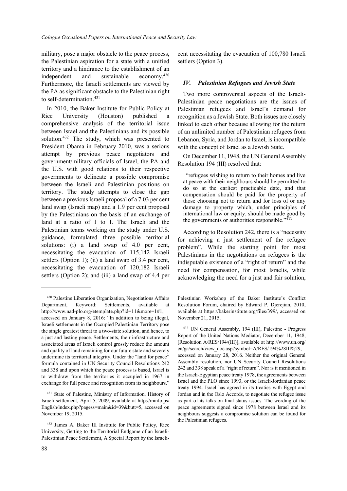military, pose a major obstacle to the peace process, the Palestinian aspiration for a state with a unified territory and a hindrance to the establishment of an independent and sustainable economy.<sup>430</sup> Furthermore, the Israeli settlements are viewed by the PA as significant obstacle to the Palestinian right to self-determination.<sup>431</sup>

In 2010, the Baker Institute for Public Policy at Rice University (Houston) published a comprehensive analysis of the territorial issue between Israel and the Palestinians and its possible solution.<sup>432</sup> The study, which was presented to President Obama in February 2010, was a serious attempt by previous peace negotiators and government/military officials of Israel, the PA and the U.S. with good relations to their respective governments to delineate a possible compromise between the Israeli and Palestinian positions on territory. The study attempts to close the gap between a previous Israeli proposal of a 7.03 per cent land swap (Israeli map) and a 1.9 per cent proposal by the Palestinians on the basis of an exchange of land at a ratio of 1 to 1. The Israeli and the Palestinian teams working on the study under U.S. guidance, formulated three possible territorial solutions: (i) a land swap of 4.0 per cent, necessitating the evacuation of 115,142 Israeli settlers (Option 1); (ii) a land swap of 3.4 per cent, necessitating the evacuation of 120,182 Israeli settlers (Option 2); and (iii) a land swap of 4.4 per

cent necessitating the evacuation of 100,780 Israeli settlers (Option 3).

## *IV. Palestinian Refugees and Jewish State*

Two more controversial aspects of the Israeli-Palestinian peace negotiations are the issues of Palestinian refugees and Israel's demand for recognition as a Jewish State. Both issues are closely linked to each other because allowing for the return of an unlimited number of Palestinian refugees from Lebanon, Syria, and Jordan to Israel, is incompatible with the concept of Israel as a Jewish State.

On December 11, 1948, the UN General Assembly Resolution 194 (III) resolved that:

"refugees wishing to return to their homes and live at peace with their neighbours should be permitted to do so at the earliest practicable date, and that compensation should be paid for the property of those choosing not to return and for loss of or any damage to property which, under principles of international law or equity, should be made good by the governments or authorities responsible."<sup>433</sup>

According to Resolution 242, there is a "necessity for achieving a just settlement of the refugee problem". While the starting point for most Palestinians in the negotiations on refugees is the indisputable existence of a "right of return" and the need for compensation, for most Israelis, while acknowledging the need for a just and fair solution,

<sup>430</sup> Palestine Liberation Organization, Negotiations Affairs Department, Keyword: Settlements, available at http://www.nad-plo.org/etemplate.php?id=11&more=1#1, accessed on January 8, 2016: "In addition to being illegal, Israeli settlements in the Occupied Palestinian Territory pose the single greatest threat to a two-state solution, and hence, to a just and lasting peace. Settlements, their infrastructure and associated areas of Israeli control grossly reduce the amount and quality of land remaining for our future state and severely undermine its territorial integrity. Under the "land for peace" formula contained in UN Security Council Resolutions 242 and 338 and upon which the peace process is based, Israel is to withdraw from the territories it occupied in 1967 in exchange for full peace and recognition from its neighbours."

<sup>431</sup> State of Palestine, Ministry of Information, History of Israeli settlement, April 5, 2009, available at http://minfo.ps/ English/index.php?pagess=main&id=39&butt=5, accessed on November 19, 2015.

<sup>432</sup> James A. Baker III Institute for Public Policy, Rice University, Getting to the Territorial Endgame of an Israeli-Palestinian Peace Settlement, A Special Report by the Israeli-

Palestinian Workshop of the Baker Institute's Conflict Resolution Forum, chaired by Edward P. Djerejian, 2010, available at https://bakerinstitute.org/files/399/, accessed on November 21, 2015.

<sup>433</sup> UN General Assembly, 194 (III), Palestine - Progress Report of the United Nations Mediator, December 11, 1948, [Resolution A/RES/194/(III)], available at http://www.un.org/ en/ga/search/view\_doc.asp?symbol=A/RES/194%28III%29, accessed on January 28, 2016. Neither the original General Assembly resolution, nor UN Security Council Resolutions 242 and 338 speak of a "right of return". Nor is it mentioned in the Israeli-Egyptian peace treaty 1978, the agreements between Israel and the PLO since 1993, or the Israeli-Jordanian peace treaty 1994. Israel has agreed in its treaties with Egypt and Jordan and in the Oslo Accords, to negotiate the refugee issue as part of its talks on final status issues. The wording of the peace agreements signed since 1978 between Israel and its neighbours suggests a compromise solution can be found for the Palestinian refugees.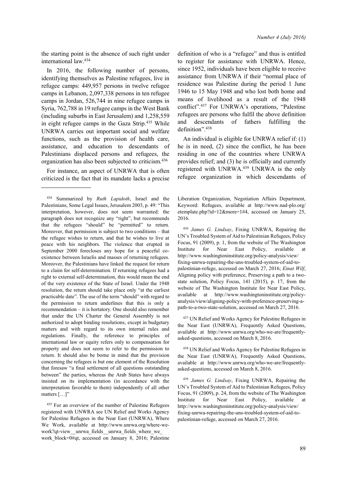the starting point is the absence of such right under international law.<sup>434</sup>

In 2016, the following number of persons, identifying themselves as Palestine refugees, live in refugee camps: 449,957 persons in twelve refugee camps in Lebanon, 2,097,338 persons in ten refugee camps in Jordan, 526,744 in nine refugee camps in Syria, 762,788 in 19 refugee camps in the West Bank (including suburbs in East Jerusalem) and 1,258,559 in eight refugee camps in the Gaza Strip.<sup>435</sup> While UNRWA carries out important social and welfare functions, such as the provision of health care, assistance, and education to descendants of Palestinians displaced persons and refugees, the organization has also been subjected to criticism.<sup>436</sup>

For instance, an aspect of UNRWA that is often criticized is the fact that its mandate lacks a precise

definition of who is a "refugee" and thus is entitled to register for assistance with UNRWA. Hence, since 1952, individuals have been eligible to receive assistance from UNRWA if their "normal place of residence was Palestine during the period 1 June 1946 to 15 May 1948 and who lost both home and means of livelihood as a result of the 1948 conflict".<sup>437</sup> For UNRWA's operations, "Palestine refugees are persons who fulfil the above definition and descendants of fathers fulfilling the definition".<sup>438</sup>

An individual is eligible for UNRWA relief if: (1) he is in need, (2) since the conflict, he has been residing in one of the countries where UNRWA provides relief; and (3) he is officially and currently registered with UNRWA.<sup>439</sup> UNRWA is the only refugee organization in which descendants of

Liberation Organization, Negotiation Affairs Department, Keyword: Refugees, available at http://www.nad-plo.org/ etemplate.php?id=12&more=1#4, accessed on January 25, 2016.

<sup>436</sup> *James G. Lindsay*, Fixing UNRWA, Repairing the UN's Troubled System of Aid to Palestinian Refugees, Policy Focus, 91 (2009), p. 1, from the website of The Washington Institute for Near East Policy, available at http://www.washingtoninstitute.org/policy-analysis/view/ fixing-unrwa-repairing-the-uns-troubled-system-of-aid-topalestinian-refuge, accessed on March 27, 2016; *Einat Wilf*, Aligning policy with preference, Preserving a path to a twostate solution, Policy Focus, 141 (2015), p. 17, from the website of The Washington Institute for Near East Policy, available at [http://www.washingtoninstitute.org/policy](http://www.washingtoninstitute.org/policy-analysis/view/aligning-policy-with-preference-preserving-a-path-to-a-two-state-solution)[analysis/view/aligning-policy-with-preference-preserving-a](http://www.washingtoninstitute.org/policy-analysis/view/aligning-policy-with-preference-preserving-a-path-to-a-two-state-solution)[path-to-a-two-state-solution,](http://www.washingtoninstitute.org/policy-analysis/view/aligning-policy-with-preference-preserving-a-path-to-a-two-state-solution) accessed on March 27, 2016.

<sup>437</sup> UN Relief and Works Agency for Palestine Refugees in the Near East (UNRWA), Frequently Asked Questions, available at http://www.unrwa.org/who-we-are/frequentlyasked-questions, accessed on March 8, 2016.

<sup>438</sup> UN Relief and Works Agency for Palestine Refugees in the Near East (UNRWA), Frequently Asked Questions, available at http://www.unrwa.org/who-we-are/frequentlyasked-questions, accessed on March 8, 2016.

<sup>439</sup> *James G. Lindsay*, Fixing UNRWA, Repairing the UN's Troubled System of Aid to Palestinian Refugees, Policy Focus, 91 (2009), p. 24, from the website of The Washington Institute for Near East Policy, available at http://www.washingtoninstitute.org/policy-analysis/view/ fixing-unrwa-repairing-the-uns-troubled-system-of-aid-topalestinian-refuge, accessed on March 27, 2016.

<sup>434</sup> Summarized by *Ruth Lapidoth*, Israel and the Palestinians, Some Legal Issues, Jerusalem 2003, p. 49: "This interpretation, however, does not seem warranted: the paragraph does not recognize any "right", but recommends that the refugees "should" be "permitted" to return. Moreover, that permission is subject to two conditions – that the refugee wishes to return, and that he wishes to live at peace with his neighbors. The violence that erupted in September 2000 forecloses any hope for a peaceful coexistence between Israelis and masses of returning refugees. Moreover, the Palestinians have linked the request for return to a claim for self-determination. If returning refugees had a right to external self-determination, this would mean the end of the very existence of the State of Israel. Under the 1948 resolution, the return should take place only "at the earliest practicable date". The use of the term "should" with regard to the permission to return underlines that this is only a recommendation – it is hortatory. One should also remember that under the UN Charter the General Assembly is not authorized to adopt binding resolutions, except in budgetary matters and with regard to its own internal rules and regulations. Finally, the reference to principles of international law or equity refers only to compensation for property and does not seem to refer to the permission to return. It should also be borne in mind that the provision concerning the refugees is but one element of the Resolution that foresaw "a final settlement of all questions outstanding between" the parties, whereas the Arab States have always insisted on its implementation (in accordance with the interpretation favorable to them) independently of all other matters […]"

<sup>435</sup> For an overview of the number of Palestine Refugees registered with UNWRA see UN Relief and Works Agency for Palestine Refugees in the Near East (UNRWA), Where We Work, available at http://www.unrwa.org/where-wework?qt-view\_unrwa\_fields\_unrwa\_fields\_where\_we work block=0#qt, accessed on January 8, 2016; Palestine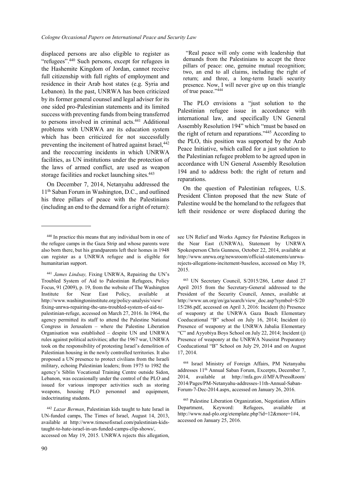displaced persons are also eligible to register as "refugees".<sup>440</sup> Such persons, except for refugees in the Hashemite Kingdom of Jordan, cannot receive full citizenship with full rights of employment and residence in their Arab host states (e.g. Syria and Lebanon). In the past, UNRWA has been criticized by its former general counsel and legal adviser for its one sided pro-Palestinian statements and its limited success with preventing funds from being transferred to persons involved in criminal acts.<sup>441</sup> Additional problems with UNRWA are its education system which has been criticized for not successfully preventing the incitement of hatred against Israel,<sup>442</sup> and the reoccurring incidents in which UNRWA facilities, as UN institutions under the protection of the laws of armed conflict, are used as weapon storage facilities and rocket launching sites.<sup>443</sup>

On December 7, 2014, Netanyahu addressed the 11th Saban Forum in Washington, D.C., and outlined his three pillars of peace with the Palestinians (including an end to the demand for a right of return):

accessed on May 19, 2015. UNRWA rejects this allegation,

"Real peace will only come with leadership that demands from the Palestinians to accept the three pillars of peace: one, genuine mutual recognition; two, an end to all claims, including the right of return; and three, a long-term Israeli security presence. Now, I will never give up on this triangle of true peace." 444

The PLO envisions a "just solution to the Palestinian refugee issue in accordance with international law, and specifically UN General Assembly Resolution 194" which "must be based on the right of return and reparations."<sup>445</sup> According to the PLO, this position was supported by the Arab Peace Initiative, which called for a just solution to the Palestinian refugee problem to be agreed upon in accordance with UN General Assembly Resolution 194 and to address both: the right of return and reparations.

On the question of Palestinian refugees, U.S. President Clinton proposed that the new State of Palestine would be the homeland to the refugees that left their residence or were displaced during the

<sup>440</sup> In practice this means that any individual born in one of the refugee camps in the Gaza Strip and whose parents were also born there, but his grandparents left their homes in 1948 can register as a UNRWA refugee and is eligible for humanitarian support.

<sup>441</sup> *James Lindsay,* Fixing UNRWA, Repairing the UN's Troubled System of Aid to Palestinian Refugees, Policy Focus, 91 (2009), p. 19, from the website of The Washington Institute for Near East Policy, available at http://www.washingtoninstitute.org/policy-analysis/view/ fixing-unrwa-repairing-the-uns-troubled-system-of-aid-topalestinian-refuge, accessed on March 27, 2016. In 1964, the agency permitted its staff to attend the Palestine National Congress in Jerusalem – where the Palestine Liberation Organisation was established – despite UN and UNRWA rules against political activities; after the 1967 war, UNRWA took on the responsibility of protesting Israel's demolition of Palestinian housing in the newly controlled territories. It also proposed a UN presence to protect civilians from the Israeli military, echoing Palestinian leaders; from 1975 to 1982 the agency's Siblin Vocational Training Centre outside Sidon, Lebanon, was occasionally under the control of the PLO and issued for various improper activities such as storing weapons, housing PLO personnel and equipment, indoctrinating students.

<sup>442</sup> *Lazar Berman*, Palestinian kids taught to hate Israel in UN-funded camps, The Times of Israel, August 14, 2013, available at http://www.timesofisrael.com/palestinian-kidstaught-to-hate-israel-in-un-funded-camps-clip-shows/,

see UN Relief and Works Agency for Palestine Refugees in the Near East (UNRWA), Statement by UNRWA Spokesperson Chris Gunness, October 22, 2014, available at http://www.unrwa.org/newsroom/official-statements/unrwarejects-allegations-incitement-baseless, accessed on May 19, 2015.

<sup>443</sup> UN Secretary Council, S/2015/286, Letter dated 27 April 2015 from the Secretary-General addressed to the President of the Security Council, Annex, available at http://www.un.org/en/ga/search/view\_doc.asp?symbol=S/20 15/286.pdf, accessed on April 3, 2016: Incident (h) Presence of weaponry at the UNRWA Gaza Beach Elementary Coeducational "B" school on July 16, 2014; Incident (i) Presence of weaponry at the UNRWA Jabalia Elementary "C" and Ayyobiya Boys School on July 22, 2014; Incident (j) Presence of weaponry at the UNRWA Nuseirat Preparatory Coeducational "B" School on July 29, 2014 and on August 17, 2014.

<sup>444</sup> Israel Ministry of Foreign Affairs, PM Netanyahu addresses 11th Annual Saban Forum, Excerpts, December 7, 2014, available at http://mfa.gov.il/MFA/PressRoom/ 2014/Pages/PM-Netanyahu-addresses-11th-Annual-Saban-Forum-7-Dec-2014.aspx, accessed on January 26, 2016.

<sup>445</sup> Palestine Liberation Organization, Negotiation Affairs Department, Keyword: Refugees, available at http://www.nad-plo.org/etemplate.php?id=12&more=1#4, accessed on January 25, 2016.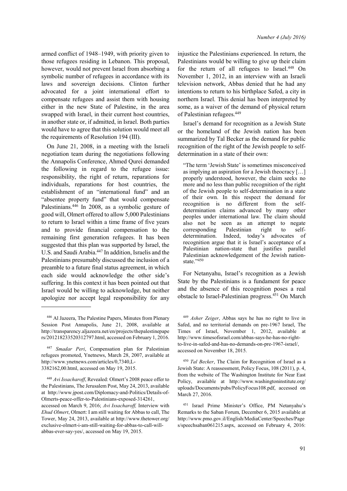armed conflict of 1948–1949, with priority given to those refugees residing in Lebanon. This proposal, however, would not prevent Israel from absorbing a symbolic number of refugees in accordance with its laws and sovereign decisions. Clinton further advocated for a joint international effort to compensate refugees and assist them with housing either in the new State of Palestine, in the area swapped with Israel, in their current host countries, in another state or, if admitted, in Israel. Both parties would have to agree that this solution would meet all the requirements of Resolution 194 (III).

On June 21, 2008, in a meeting with the Israeli negotiation team during the negotiations following the Annapolis Conference, Ahmed Qurei demanded the following in regard to the refugee issue: responsibility, the right of return, reparations for individuals, reparations for host countries, the establishment of an "international fund" and an "absentee property fund" that would compensate Palestinians.<sup>446</sup> In 2008, as a symbolic gesture of good will, Olmert offered to allow 5,000 Palestinians to return to Israel within a time frame of five years and to provide financial compensation to the remaining first generation refugees. It has been suggested that this plan was supported by Israel, the U.S. and Saudi Arabia.<sup>447</sup> In addition, Israelis and the Palestinians presumably discussed the inclusion of a preamble to a future final status agreement, in which each side would acknowledge the other side's suffering. In this context it has been pointed out that Israel would be willing to acknowledge, but neither apologize nor accept legal responsibility for any

injustice the Palestinians experienced. In return, the Palestinians would be willing to give up their claim for the return of all refugees to Israel.<sup>448</sup> On November 1, 2012, in an interview with an Israeli television network, Abbas denied that he had any intentions to return to his birthplace Safed, a city in northern Israel. This denial has been interpreted by some, as a waiver of the demand of physical return of Palestinian refugees.<sup>449</sup>

Israel's demand for recognition as a Jewish State or the homeland of the Jewish nation has been summarized by Tal Becker as the demand for public recognition of the right of the Jewish people to selfdetermination in a state of their own:

"The term 'Jewish State' is sometimes misconceived as implying an aspiration for a Jewish theocracy […] properly understood, however, the claim seeks no more and no less than public recognition of the right of the Jewish people to self-determination in a state of their own. In this respect the demand for recognition is no different from the selfdetermination claims advanced by many other peoples under international law. The claim should also not be seen as an attempt to negate corresponding Palestinian right to selfdetermination. Indeed, today's advocates of recognition argue that it is Israel's acceptance of a Palestinian nation-state that justifies parallel Palestinian acknowledgement of the Jewish nationstate."450

For Netanyahu, Israel's recognition as a Jewish State by the Palestinians is a fundament for peace and the absence of this recognition poses a real obstacle to Israel-Palestinian progress.<sup>451</sup> On March

<sup>446</sup> Al Jazeera, The Palestine Papers, Minutes from Plenary Session Post Annapolis, June 21, 2008, available at http://transparency.aljazeera.net/en/projects/thepalestinepape rs/201218233520312797.html, accessed on February 1, 2016.

<sup>447</sup> *Smadar Peri*, Compensation plan for Palestinian refugees promoted, Ynetnews, March 28, 2007, available at http://www.ynetnews.com/articles/0,7340,L-3382162,00.html, accessed on May 19, 2015.

<sup>448</sup> *Avi Issacharoff*, Revealed: Olmert's 2008 peace offer to the Palestinians, The Jerusalem Post, May 24, 2013, available at http://www.jpost.com/Diplomacy-and-Politics/Details-of-Olmerts-peace-offer-to-Palestinians-exposed-314261, accessed on March 9, 2016; *Avi Issacharoff,* Interview with *Ehud Olmert*, Olmert: I am still waiting for Abbas to call, The Tower, May 24, 2013, available at http://www.thetower.org/ exclusive-olmert-i-am-still-waiting-for-abbas-to-call-willabbas-ever-say-yes/, accessed on May 19, 2015.

<sup>449</sup> *Asher Zeiger*, Abbas says he has no right to live in Safed, and no territorial demands on pre-1967 Israel, The Times of Israel, November 1, 2012, available at http://www.timesofisrael.com/abbas-says-he-has-no-rightto-live-in-safed-and-has-no-demands-on-pre-1967-israel/, accessed on November 18, 2015.

<sup>450</sup> *Tal Becker*, The Claim for Recognition of Israel as a Jewish State: A reassessment, Policy Focus, 108 (2011), p. 4, from the website of The Washington Institute for Near East Policy, available at http://www.washingtoninstitute.org/ uploads/Documents/pubs/PolicyFocus108.pdf, accessed on March 27, 2016.

<sup>451</sup> Israel Prime Minister's Office, PM Netanyahu's Remarks to the Saban Forum, December 6, 2015 available at http://www.pmo.gov.il/English/MediaCenter/Speeches/Page s/speechsaban061215.aspx, accessed on February 4, 2016: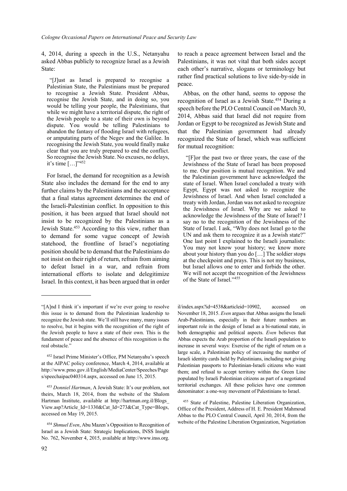4, 2014, during a speech in the U.S., Netanyahu asked Abbas publicly to recognize Israel as a Jewish State:

"[J]ust as Israel is prepared to recognise a Palestinian State, the Palestinians must be prepared to recognise a Jewish State. President Abbas, recognise the Jewish State, and in doing so, you would be telling your people, the Palestinians, that while we might have a territorial dispute, the right of the Jewish people to a state of their own is beyond dispute. You would be telling Palestinians to abandon the fantasy of flooding Israel with refugees, or amputating parts of the Negev and the Galilee. In recognising the Jewish State, you would finally make clear that you are truly prepared to end the conflict. So recognise the Jewish State. No excuses, no delays, it's time […]" 452

For Israel, the demand for recognition as a Jewish State also includes the demand for the end to any further claims by the Palestinians and the acceptance that a final status agreement determines the end of the Israeli-Palestinian conflict. In opposition to this position, it has been argued that Israel should not insist to be recognized by the Palestinians as a Jewish State.<sup>453</sup> According to this view, rather than to demand for some vague concept of Jewish statehood, the frontline of Israel's negotiating position should be to demand that the Palestinians do not insist on their right of return, refrain from aiming to defeat Israel in a war, and refrain from international efforts to isolate and delegitimize Israel. In this context, it has been argued that in order

to reach a peace agreement between Israel and the Palestinians, it was not vital that both sides accept each other's narrative, slogans or terminology but rather find practical solutions to live side-by-side in peace.

Abbas, on the other hand, seems to oppose the recognition of Israel as a Jewish State.<sup>454</sup> During a speech before the PLO Central Council on March 30, 2014, Abbas said that Israel did not require from Jordan or Egypt to be recognized as Jewish State and that the Palestinian government had already recognized the State of Israel, which was sufficient for mutual recognition:

"[F]or the past two or three years, the case of the Jewishness of the State of Israel has been proposed to me. Our position is mutual recognition. We and the Palestinian government have acknowledged the state of Israel. When Israel concluded a treaty with Egypt, Egypt was not asked to recognize the Jewishness of Israel. And when Israel concluded a treaty with Jordan, Jordan was not asked to recognize the Jewishness of Israel. Why are we asked to acknowledge the Jewishness of the State of Israel? I say no to the recognition of the Jewishness of the State of Israel. I ask, "Why does not Israel go to the UN and ask them to recognize it as a Jewish state?" One last point I explained to the Israeli journalists: You may not know your history; we know more about your history than you do […] The soldier stops at the checkpoint and prays. This is not my business, but Israel allows one to enter and forbids the other. We will not accept the recognition of the Jewishness of the State of Israel."455

il/index.aspx?id=4538&articleid=10902, accessed on November 18, 2015. *Even* argues that Abbas assigns the Israeli Arab-Palestinians, especially in their future numbers an important role in the design of Israel as a bi-national state, in both demographic and political aspects. *Even* believes that Abbas expects the Arab proportion of the Israeli population to increase in several ways: Exercise of the right of return on a large scale, a Palestinian policy of increasing the number of Israeli identity cards held by Palestinians, including not giving Palestinian passports to Palestinian-Israeli citizens who want them; and refusal to accept territory within the Green Line populated by Israeli Palestinian citizens as part of a negotiated territorial exchanges. All these policies have one common denominator: a one-way movement of Palestinians to Israel.

<sup>&</sup>quot;[A]nd I think it's important if we're ever going to resolve this issue is to demand from the Palestinian leadership to recognize the Jewish state. We'll still have many, many issues to resolve, but it begins with the recognition of the right of the Jewish people to have a state of their own. This is the fundament of peace and the absence of this recognition is the real obstacle."

<sup>452</sup> Israel Prime Minister's Office, PM Netanyahu's speech at the AIPAC policy conference, March 4, 2014, available at http://www.pmo.gov.il/English/MediaCenter/Speeches/Page s/speechaipac040314.aspx, accessed on June 15, 2015.

<sup>453</sup> *Donniel Hartman*, A Jewish State: It's our problem, not theirs, March 18, 2014, from the website of the Shalom Hartman Institute, available at http://hartman.org.il/Blogs\_ View.asp?Article\_Id=1330&Cat\_Id=273&Cat\_Type=Blogs, accessed on May 19, 2015.

<sup>454</sup> *Shmuel Even*, Abu Mazen's Opposition to Recognition of Israel as a Jewish State: Strategic Implications, INSS Insight No. 762, November 4, 2015, available at http://www.inss.org.

<sup>455</sup> State of Palestine, Palestine Liberation Organization, Office of the President, Address of H. E. President Mahmoud Abbas to the PLO Central Council, April 30, 2014, from the website of the Palestine Liberation Organization, Negotiation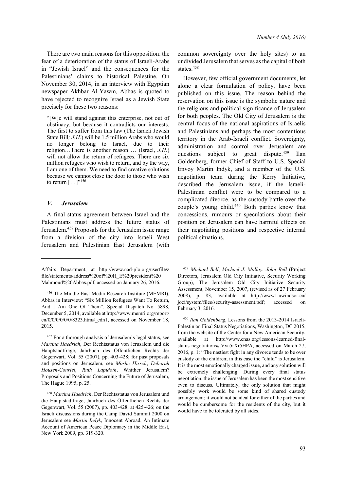There are two main reasons for this opposition: the fear of a deterioration of the status of Israeli-Arabs in "Jewish Israel" and the consequences for the Palestinians' claims to historical Palestine. On November 30, 2014, in an interview with Egyptian newspaper Akhbar Al-Yawm, Abbas is quoted to have rejected to recognize Israel as a Jewish State precisely for these two reasons:

"[W]e will stand against this enterprise, not out of obstinacy, but because it contradicts our interests. The first to suffer from this law (The Israeli Jewish State Bill*; J.H.*) will be 1.5 million Arabs who would no longer belong to Israel, due to their religion…There is another reason … (Israel, *J.H.*) will not allow the return of refugees. There are six million refugees who wish to return, and by the way, I am one of them. We need to find creative solutions because we cannot close the door to those who wish to return  $[...]^{3456}$ 

#### *V. Jerusalem*

A final status agreement between Israel and the Palestinians must address the future status of Jerusalem.<sup>457</sup> Proposals for the Jerusalem issue range from a division of the city into Israeli West Jerusalem and Palestinian East Jerusalem (with

common sovereignty over the holy sites) to an undivided Jerusalem that serves as the capital of both states.<sup>458</sup>

However, few official government documents, let alone a clear formulation of policy, have been published on this issue. The reason behind the reservation on this issue is the symbolic nature and the religious and political significance of Jerusalem for both peoples. The Old City of Jerusalem is the central focus of the national aspirations of Israelis and Palestinians and perhaps the most contentious territory in the Arab-Israeli conflict. Sovereignty, administration and control over Jerusalem are questions subject to great dispute.<sup>459</sup> Ilan Goldenberg, former Chief of Staff to U.S. Special Envoy Martin Indyk, and a member of the U.S. negotiation team during the Kerry Initiative, described the Jerusalem issue, if the Israeli-Palestinian conflict were to be compared to a complicated divorce, as the custody battle over the couple's young child.<sup>460</sup> Both parties know that concessions, rumours or speculations about their position on Jerusalem can have harmful effects on their negotiating positions and respective internal political situations.

<sup>459</sup> *Michael Bell*, *Michael J*. *Molloy*, *John Bell* (Project Directors, Jerusalem Old City Initiative, Security Working Group), The Jerusalem Old City Initiative Security Assessment, November 15, 2007, (revised as of 27 February 2008), p. 83, available at http://www1.uwindsor.ca/ joci/system/files/security-assessment.pdf; accessed on February 3, 2016.

<sup>460</sup> *Ilan Goldenberg*, Lessons from the 2013-2014 Israeli-Palestinian Final Status Negotiations, Washington, DC 2015, from the website of the Center for a New American Security, available at http://www.cnas.org/lessons-learned-finalstatus-negotiations#.Vva5rXr5HPA, accessed on March 27, 2016, p. 1: "The nastiest fight in any divorce tends to be over custody of the children; in this case the "child" is Jerusalem. It is the most emotionally charged issue, and any solution will be extremely challenging. During every final status negotiation, the issue of Jerusalem has been the most sensitive even to discuss. Ultimately, the only solution that might possibly work would be some kind of shared custody arrangement; it would not be ideal for either of the parties and would be cumbersome for the residents of the city, but it would have to be tolerated by all sides.

Affairs Department, at http://www.nad-plo.org/userfiles/ file/statements/address%20of%20H\_E%20president%20 Mahmoud%20Abbas.pdf, accessed on January 26, 2016.

<sup>456</sup> The Middle East Media Research Institute (MEMRI), Abbas in Interview: "Six Million Refugees Want To Return, And I Am One Of Them", Special Dispatch No. 5898, December 5, 2014, available at http://www.memri.org/report/ en/0/0/0/0/0/0/8323.htm# edn1, accessed on November 18, 2015.

<sup>457</sup> For a thorough analysis of Jerusalem's legal status, see *Martina Haedrich*, Der Rechtsstatus von Jerusalem und die Hauptstadtfrage, Jahrbuch des Öffentlichen Rechts der Gegenwart, Vol. 55 (2007), pp. 403-428; for past proposals and positions on Jerusalem, see *Moshe Hirsch*, *Deborah Housen-Couriel*, *Ruth Lapidoth*, Whither Jerusalem? Proposals and Positions Concerning the Future of Jerusalem, The Hague 1995, p. 25.

<sup>458</sup> *Martina Haedrich*, Der Rechtsstatus von Jerusalem und die Hauptstadtfrage, Jahrbuch des Öffentlichen Rechts der Gegenwart, Vol. 55 (2007), pp. 403-428, at 425-426; on the Israeli discussions during the Camp David Summit 2000 on Jerusalem see *Martin Indyk*, Innocent Abroad, An Intimate Account of American Peace Diplomacy in the Middle East, New York 2009, pp. 319-320.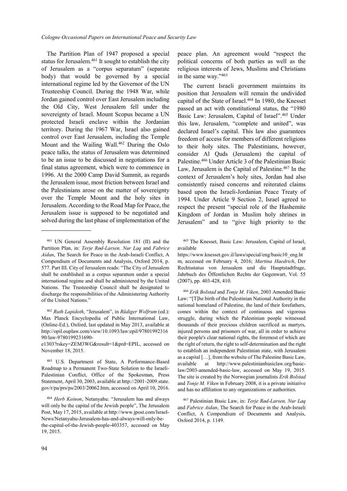The Partition Plan of 1947 proposed a special status for Jerusalem.<sup>461</sup> It sought to establish the city of Jerusalem as a "corpus separatum" (separate body) that would be governed by a special international regime led by the Governor of the UN Trusteeship Council. During the 1948 War, while Jordan gained control over East Jerusalem including the Old City, West Jerusalem fell under the sovereignty of Israel. Mount Scopus became a UN protected Israeli enclave within the Jordanian territory. During the 1967 War, Israel also gained control over East Jerusalem, including the Temple Mount and the Wailing Wall.<sup>462</sup> During the Oslo peace talks, the status of Jerusalem was determined to be an issue to be discussed in negotiations for a final status agreement, which were to commence in 1996. At the 2000 Camp David Summit, as regards the Jerusalem issue, most friction between Israel and the Palestinians arose on the matter of sovereignty over the Temple Mount and the holy sites in Jerusalem. According to the Road Map for Peace, the Jerusalem issue is supposed to be negotiated and solved during the last phase of implementation of the

peace plan. An agreement would "respect the political concerns of both parties as well as the religious interests of Jews, Muslims and Christians in the same way."<sup>463</sup>

The current Israeli government maintains its position that Jerusalem will remain the undivided capital of the State of Israel.<sup>464</sup> In 1980, the Knesset passed an act with constitutional status, the "1980 Basic Law: Jerusalem, Capital of Israel".<sup>465</sup> Under this law, Jerusalem, "complete and united", was declared Israel's capital. This law also guarantees freedom of access for members of different religions to their holy sites. The Palestinians, however, consider Al Quds (Jerusalem) the capital of Palestine.<sup>466</sup> Under Article 3 of the Palestinian Basic Law, Jerusalem is the Capital of Palestine.<sup>467</sup> In the context of Jerusalem's holy sites, Jordan had also consistently raised concerns and reiterated claims based upon the Israeli-Jordanian Peace Treaty of 1994. Under Article 9 Section 2, Israel agreed to respect the present "special role of the Hashemite Kingdom of Jordan in Muslim holy shrines in Jerusalem" and to "give high priority to the

<sup>466</sup> *Erik Bolstad* and *Tonje M. Viken*, 2003 Amended Basic Law: "[T]he birth of the Palestinian National Authority in the national homeland of Palestine, the land of their forefathers, comes within the context of continuous and vigorous struggle, during which the Palestinian people witnessed thousands of their precious children sacrificed as martyrs, injured persons and prisoners of war, all in order to achieve their people's clear national rights, the foremost of which are the right of return, the right to self-determination and the right to establish an independent Palestinian state, with Jerusalem as a capital […], from the website of The Palestine Basic Law, available at http://www.palestinianbasiclaw.org/basiclaw/2003-amended-basic-law, accessed on May 19, 2015. The site is created by the Norwegian journalists *Erik Bolstad* and *Tonje M. Viken* in February 2008, it is a private initiative and has no affiliation to any organizations or authorities.

<sup>461</sup> UN General Assembly Resolution 181 (II) and the Partition Plan, in: *Terje Rød-Larsen, Nur Laq* and *Fabrice Aidan*, The Search for Peace in the Arab-Israeli Conflict, A Compendium of Documents and Analysis, Oxford 2014, p. 577. Part III. City of Jerusalem reads: "The City of Jerusalem shall be established as a corpus separatum under a special international regime and shall be administered by the United Nations. The Trusteeship Council shall be designated to discharge the responsibilities of the Administering Authority of the United Nations."

<sup>462</sup> *Ruth Lapidoth*, "Jerusalem", in *Rüdiger Wolfrum* (ed.): Max Planck Encyclopedia of Public International Law, (Online-Ed.), Oxford, last updated in May 2013, available at http://opil.ouplaw.com/view/10.1093/law:epil/97801992316 90/law-9780199231690-

e1303?rskey=ZEM3WG&result=1&prd=EPIL, accessed on November 18, 2015.

<sup>463</sup> U.S. Department of State, A Performance-Based Roadmap to a Permanent Two-State Solution to the Israeli-Palestinian Conflict, Office of the Spokesman, Press Statement, April 30, 2003, available at http://2001-2009.state. gov/r/pa/prs/ps/2003/20062.htm, accessed on April 10, 2016.

<sup>464</sup> *Herb Keinon*, Netanyahu: "Jerusalem has and always will only be the capital of the Jewish people", The Jerusalem Post, May 17, 2015, available at http://www.jpost.com/Israel-News/Netanyahu-Jerusalem-has-and-always-will-only-bethe-capital-of-the-Jewish-people-403357, accessed on May 19, 2015.

<sup>465</sup> The Knesset, Basic Law: Jerusalem, Capital of Israel, available https://www.knesset.gov.il/laws/special/eng/basic10\_eng.ht m, accessed on February 4, 2016; *Martina Haedrich*, Der Rechtsstatus von Jerusalem und die Hauptstadtfrage, Jahrbuch des Öffentlichen Rechts der Gegenwart, Vol. 55 (2007), pp. 403-428, 410.

<sup>467</sup> Palestinian Basic Law, in: *Terje Rød-Larsen, Nur Laq*  and *Fabrice Aidan*, The Search for Peace in the Arab-Israeli Conflict, A Compendium of Documents and Analysis, Oxford 2014, p. 1149.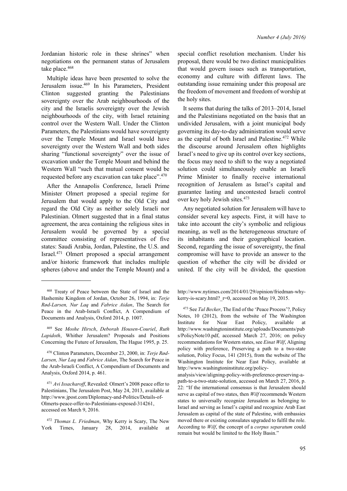Jordanian historic role in these shrines" when negotiations on the permanent status of Jerusalem take place.<sup>468</sup>

Multiple ideas have been presented to solve the Jerusalem issue.<sup>469</sup> In his Parameters, President Clinton suggested granting the Palestinians sovereignty over the Arab neighbourhoods of the city and the Israelis sovereignty over the Jewish neighbourhoods of the city, with Israel retaining control over the Western Wall. Under the Clinton Parameters, the Palestinians would have sovereignty over the Temple Mount and Israel would have sovereignty over the Western Wall and both sides sharing "functional sovereignty" over the issue of excavation under the Temple Mount and behind the Western Wall "such that mutual consent would be requested before any excavation can take place".<sup>470</sup>

After the Annapolis Conference, Israeli Prime Minister Olmert proposed a special regime for Jerusalem that would apply to the Old City and regard the Old City as neither solely Israeli nor Palestinian. Olmert suggested that in a final status agreement, the area containing the religious sites in Jerusalem would be governed by a special committee consisting of representatives of five states: Saudi Arabia, Jordan, Palestine, the U.S. and Israel.<sup>471</sup> Olmert proposed a special arrangement and/or historic framework that includes multiple spheres (above and under the Temple Mount) and a

special conflict resolution mechanism. Under his proposal, there would be two distinct municipalities that would govern issues such as transportation, economy and culture with different laws. The outstanding issue remaining under this proposal are the freedom of movement and freedom of worship at the holy sites.

It seems that during the talks of 2013–2014, Israel and the Palestinians negotiated on the basis that an undivided Jerusalem, with a joint municipal body governing its day-to-day administration would serve as the capital of both Israel and Palestine.<sup>472</sup> While the discourse around Jerusalem often highlights Israel's need to give up its control over key sections, the focus may need to shift to the way a negotiated solution could simultaneously enable an Israeli Prime Minister to finally receive international recognition of Jerusalem as Israel's capital and guarantee lasting and uncontested Israeli control over key holy Jewish sites.<sup>473</sup>

Any negotiated solution for Jerusalem will have to consider several key aspects. First, it will have to take into account the city's symbolic and religious meaning, as well as the heterogeneous structure of its inhabitants and their geographical location. Second, regarding the issue of sovereignty, the final compromise will have to provide an answer to the question of whether the city will be divided or united. If the city will be divided, the question

<sup>468</sup> Treaty of Peace between the State of Israel and the Hashemite Kingdom of Jordan, October 26, 1994, in: *Terje Rød-Larsen, Nur Laq* and *Fabrice Aidan*, The Search for Peace in the Arab-Israeli Conflict, A Compendium of Documents and Analysis, Oxford 2014, p. 1007.

<sup>469</sup> See *Moshe Hirsch*, *Deborah Housen-Couriel*, *Ruth Lapidoth*, Whither Jerusalem? Proposals and Positions Concerning the Future of Jerusalem, The Hague 1995, p. 25.

<sup>470</sup> Clinton Parameters, December 23, 2000, in: *Terje Rød-Larsen, Nur Laq* and *Fabrice Aidan*, The Search for Peace in the Arab-Israeli Conflict, A Compendium of Documents and Analysis, Oxford 2014, p. 461.

<sup>471</sup> *Avi Issacharoff*, Revealed: Olmert's 2008 peace offer to Palestinians, The Jerusalem Post, May 24, 2013, available at http://www.jpost.com/Diplomacy-and-Politics/Details-of-Olmerts-peace-offer-to-Palestinians-exposed-314261, accessed on March 9, 2016.

<sup>472</sup> *Thomas L. Friedman*, Why Kerry is Scary, The New York Times, January 28, 2014, available at

http://www.nytimes.com/2014/01/29/opinion/friedman-whykerry-is-scary.html?  $r=0$ , accessed on May 19, 2015.

<sup>473</sup> See *Tal Becker*, The End of the 'Peace Process'?, Policy Notes, 10 (2012), from the website of The Washington Institute for Near East Policy, available at http://www.washingtoninstitute.org/uploads/Documents/pub s/PolicyNote10.pdf, accessed March 27, 2016; on policy recommendations for Western states, see *Einat Wilf*, Aligning policy with preference, Preserving a path to a two-state solution, Policy Focus, 141 (2015), from the website of The Washington Institute for Near East Policy, available at http://www.washingtoninstitute.org/policy-

analysis/view/aligning-policy-with-preference-preserving-apath-to-a-two-state-solution, accessed on March 27, 2016, p. 22: "If the international consensus is that Jerusalem should serve as capital of two states, then *Wilf* recommends Western states to universally recognize Jerusalem as belonging to Israel and serving as Israel's capital and recognize Arab East Jerusalem as capital of the state of Palestine, with embassies moved there or existing consulates upgraded to fulfil the role. According to *Wilf*, the concept of a *corpus separatum* could remain but would be limited to the Holy Basin."